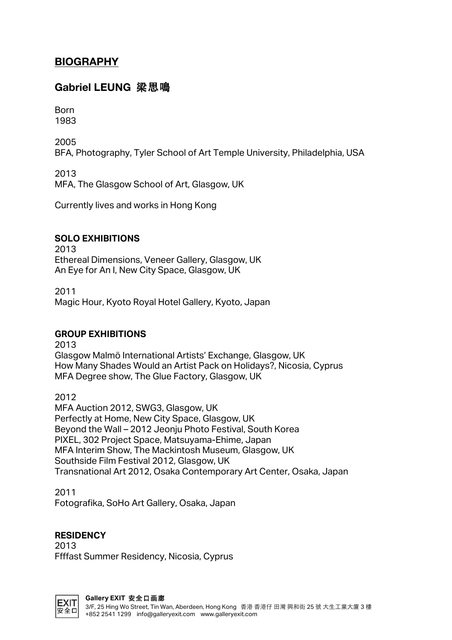# **BIOGRAPHY**

## **Gabriel LEUNG** 梁思鳴

Born 1983

2005 BFA, Photography, Tyler School of Art Temple University, Philadelphia, USA

2013 MFA, The Glasgow School of Art, Glasgow, UK

Currently lives and works in Hong Kong

#### **SOLO EXHIBITIONS**

2013 Ethereal Dimensions, Veneer Gallery, Glasgow, UK An Eye for An I, New City Space, Glasgow, UK

2011 Magic Hour, Kyoto Royal Hotel Gallery, Kyoto, Japan

#### **GROUP EXHIBITIONS**

2013

Glasgow Malmö International Artists' Exchange, Glasgow, UK How Many Shades Would an Artist Pack on Holidays?, Nicosia, Cyprus MFA Degree show, The Glue Factory, Glasgow, UK

2012

MFA Auction 2012, SWG3, Glasgow, UK Perfectly at Home, New City Space, Glasgow, UK Beyond the Wall – 2012 Jeonju Photo Festival, South Korea PIXEL, 302 Project Space, Matsuyama-Ehime, Japan MFA Interim Show, The Mackintosh Museum, Glasgow, UK Southside Film Festival 2012, Glasgow, UK Transnational Art 2012, Osaka Contemporary Art Center, Osaka, Japan

2011 Fotografika, SoHo Art Gallery, Osaka, Japan

#### **RESIDENCY**

2013 Ffffast Summer Residency, Nicosia, Cyprus